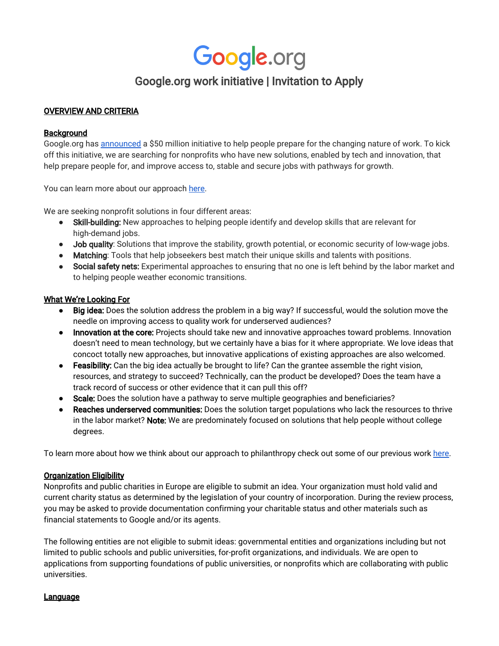# Google.org work initiative | Invitation to Apply

# OVERVIEW AND CRITERIA

## **Background**

Google.org has [announced](https://www.blog.google/topics/google-org/making-the-future-work-for-everyone) a \$50 million initiative to help people prepare for the changing nature of work. To kick off this initiative, we are searching for nonprofits who have new solutions, enabled by tech and innovation, that help prepare people for, and improve access to, stable and secure jobs with pathways for growth.

You can learn more about our approach [here.](https://www.google.org/helping-prepare-for-the-future-of-work/)

We are seeking nonprofit solutions in four different areas:

- Skill-building: New approaches to helping people identify and develop skills that are relevant for high-demand jobs.
- Job quality: Solutions that improve the stability, growth potential, or economic security of low-wage jobs.
- Matching: Tools that help jobseekers best match their unique skills and talents with positions.
- Social safety nets: Experimental approaches to ensuring that no one is left behind by the labor market and to helping people weather economic transitions.

## What We're Looking For

- **●** Big idea: Does the solution address the problem in a big way? If successful, would the solution move the needle on improving access to quality work for underserved audiences?
- Innovation at the core: Projects should take new and innovative approaches toward problems. Innovation doesn't need to mean technology, but we certainly have a bias for it where appropriate. We love ideas that concoct totally new approaches, but innovative applications of existing approaches are also welcomed.
- **●** Feasibility: Can the big idea actually be brought to life? Can the grantee assemble the right vision, resources, and strategy to succeed? Technically, can the product be developed? Does the team have a track record of success or other evidence that it can pull this off?
- **●** Scale: Does the solution have a pathway to serve multiple geographies and beneficiaries?
- **Reaches underserved communities:** Does the solution target populations who lack the resources to thrive in the labor market? Note: We are predominately focused on solutions that help people without college degrees.

To learn more about how we think about our approach to philanthropy check out some of our previous work [here](https://www.google.org/our-work/).

#### Organization Eligibility

Nonprofits and public charities in Europe are eligible to submit an idea. Your organization must hold valid and current charity status as determined by the legislation of your country of incorporation. During the review process, you may be asked to provide documentation confirming your charitable status and other materials such as financial statements to Google and/or its agents.

The following entities are not eligible to submit ideas: governmental entities and organizations including but not limited to public schools and public universities, for-profit organizations, and individuals. We are open to applications from supporting foundations of public universities, or nonprofits which are collaborating with public universities.

#### Language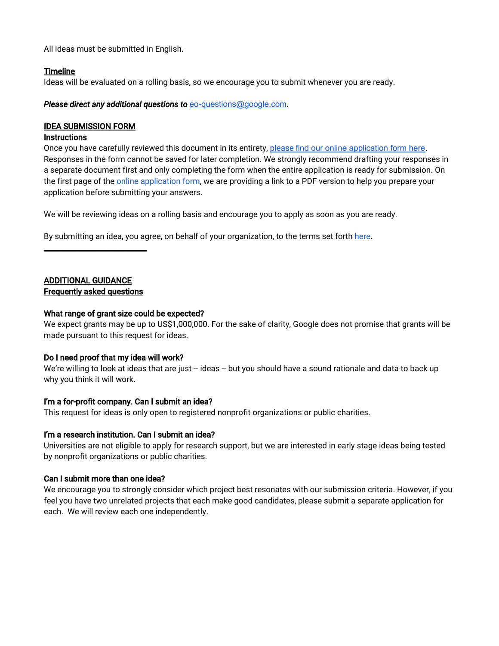All ideas must be submitted in English.

# **Timeline**

Ideas will be evaluated on a rolling basis, so we encourage you to submit whenever you are ready.

*Please direct any additional questions to* [eo-questions@google.com](mailto:eo-questions@google.com).

# IDEA SUBMISSION FORM

#### Instructions

Once you have carefully reviewed this document in its entirety, [please](https://docs.google.com/a/google.com/forms/d/e/1FAIpQLSccpjXQt7dTMQ2FmEjvzu2kPvIvn8hoFfdV56HTI6JGw2IF9w/viewform) find our online [application](https://docs.google.com/a/google.com/forms/d/e/1FAIpQLSccpjXQt7dTMQ2FmEjvzu2kPvIvn8hoFfdV56HTI6JGw2IF9w/viewform) form here. Responses in the form cannot be saved for later completion. We strongly recommend drafting your responses in a separate document first and only completing the form when the entire application is ready for submission. On the first page of the online [application](https://docs.google.com/a/google.com/forms/d/e/1FAIpQLSccpjXQt7dTMQ2FmEjvzu2kPvIvn8hoFfdV56HTI6JGw2IF9w/viewform) form, we are providing a link to a PDF version to help you prepare your application before submitting your answers.

We will be reviewing ideas on a rolling basis and encourage you to apply as soon as you are ready.

By submitting an idea, you agree, on behalf of your organization, to the terms set forth [here.](#page-2-0)

# ADDITIONAL GUIDANCE Frequently asked questions

\_\_\_\_\_\_\_\_\_\_\_\_\_\_\_\_\_\_\_\_\_\_\_\_\_\_\_\_

# What range of grant size could be expected?

We expect grants may be up to US\$1,000,000. For the sake of clarity, Google does not promise that grants will be made pursuant to this request for ideas.

# Do I need proof that my idea will work?

We're willing to look at ideas that are just -- ideas -- but you should have a sound rationale and data to back up why you think it will work.

# I'm a for-profit company. Can I submit an idea?

This request for ideas is only open to registered nonprofit organizations or public charities.

# I'm a research institution. Can I submit an idea?

Universities are not eligible to apply for research support, but we are interested in early stage ideas being tested by nonprofit organizations or public charities.

# Can I submit more than one idea?

We encourage you to strongly consider which project best resonates with our submission criteria. However, if you feel you have two unrelated projects that each make good candidates, please submit a separate application for each. We will review each one independently.